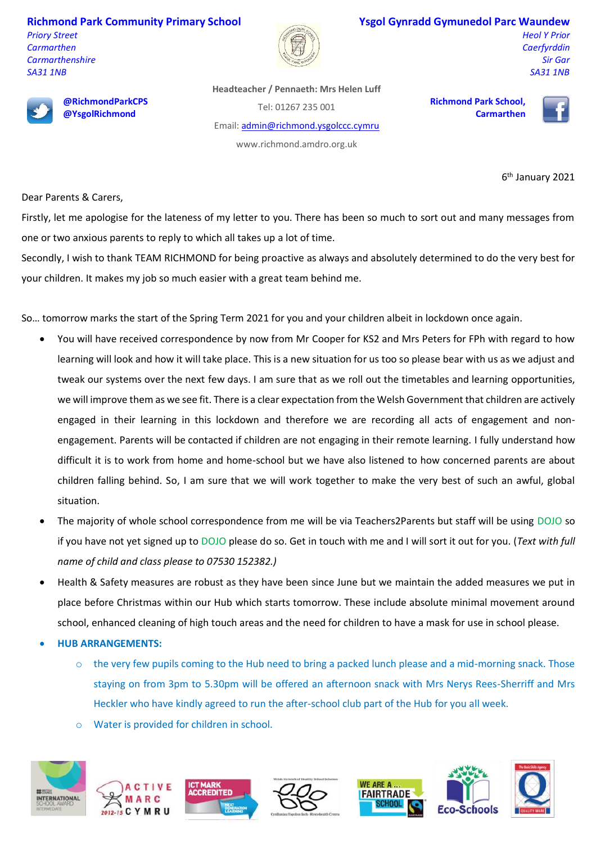**Richmond Park Community Primary School**

*Priory Street Carmarthen Carmarthenshire SA31 1NB*



## **Ysgol Gynradd Gymunedol Parc Waundew**

**Richmond Park School,** 

**Carmarthen**

*Heol Y Prior Caerfyrddin Sir Gar SA31 1NB*



**@RichmondParkCPS @YsgolRichmond**

**Headteacher / Pennaeth: Mrs Helen Luff**

Tel: 01267 235 001

Email: [admin@richmond.ysgolccc.cymru](mailto:admin@richmond.ysgolccc.cymru)

www.richmond.amdro.org.uk

6<sup>th</sup> January 2021

Dear Parents & Carers,

Firstly, let me apologise for the lateness of my letter to you. There has been so much to sort out and many messages from one or two anxious parents to reply to which all takes up a lot of time.

Secondly, I wish to thank TEAM RICHMOND for being proactive as always and absolutely determined to do the very best for your children. It makes my job so much easier with a great team behind me.

So… tomorrow marks the start of the Spring Term 2021 for you and your children albeit in lockdown once again.

- You will have received correspondence by now from Mr Cooper for KS2 and Mrs Peters for FPh with regard to how learning will look and how it will take place. This is a new situation for us too so please bear with us as we adjust and tweak our systems over the next few days. I am sure that as we roll out the timetables and learning opportunities, we will improve them as we see fit. There is a clear expectation from the Welsh Government that children are actively engaged in their learning in this lockdown and therefore we are recording all acts of engagement and nonengagement. Parents will be contacted if children are not engaging in their remote learning. I fully understand how difficult it is to work from home and home-school but we have also listened to how concerned parents are about children falling behind. So, I am sure that we will work together to make the very best of such an awful, global situation.
- The majority of whole school correspondence from me will be via Teachers2Parents but staff will be using DOJO so if you have not yet signed up to DOJO please do so. Get in touch with me and I will sort it out for you. (*Text with full name of child and class please to 07530 152382.)*
- Health & Safety measures are robust as they have been since June but we maintain the added measures we put in place before Christmas within our Hub which starts tomorrow. These include absolute minimal movement around school, enhanced cleaning of high touch areas and the need for children to have a mask for use in school please.
- **HUB ARRANGEMENTS:**
	- $\circ$  the very few pupils coming to the Hub need to bring a packed lunch please and a mid-morning snack. Those staying on from 3pm to 5.30pm will be offered an afternoon snack with Mrs Nerys Rees-Sherriff and Mrs Heckler who have kindly agreed to run the after-school club part of the Hub for you all week.
	- o Water is provided for children in school.